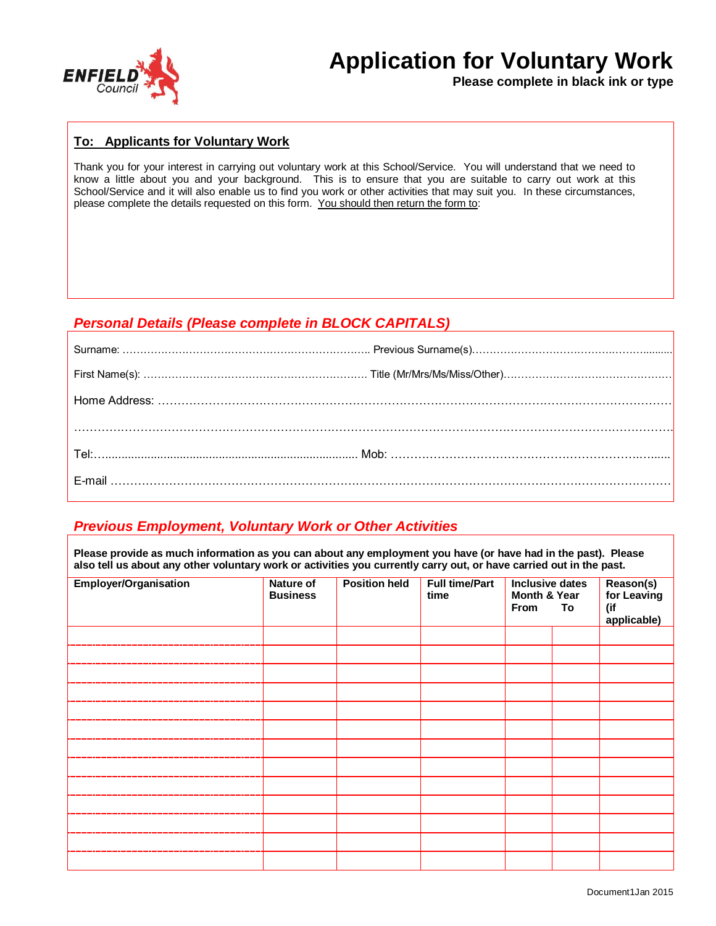

# **Application for Voluntary Work**

**Please complete in black ink or type**

#### **To: Applicants for Voluntary Work**

Thank you for your interest in carrying out voluntary work at this School/Service. You will understand that we need to know a little about you and your background. This is to ensure that you are suitable to carry out work at this School/Service and it will also enable us to find you work or other activities that may suit you. In these circumstances, please complete the details requested on this form. You should then return the form to:

# *Personal Details (Please complete in BLOCK CAPITALS)*

# *Previous Employment, Voluntary Work or Other Activities*

**Please provide as much information as you can about any employment you have (or have had in the past). Please also tell us about any other voluntary work or activities you currently carry out, or have carried out in the past.**

| <b>Employer/Organisation</b> | <b>Nature of</b><br><b>Business</b> | <b>Position held</b> | <b>Full time/Part</b><br>time | <b>Inclusive dates</b><br>Month & Year<br>From<br>To |  | Reason(s)<br>for Leaving<br>(if<br>applicable) |
|------------------------------|-------------------------------------|----------------------|-------------------------------|------------------------------------------------------|--|------------------------------------------------|
|                              |                                     |                      |                               |                                                      |  |                                                |
|                              |                                     |                      |                               |                                                      |  |                                                |
|                              |                                     |                      |                               |                                                      |  |                                                |
|                              |                                     |                      |                               |                                                      |  |                                                |
|                              |                                     |                      |                               |                                                      |  |                                                |
|                              |                                     |                      |                               |                                                      |  |                                                |
|                              |                                     |                      |                               |                                                      |  |                                                |
|                              |                                     |                      |                               |                                                      |  |                                                |
|                              |                                     |                      |                               |                                                      |  |                                                |
|                              |                                     |                      |                               |                                                      |  |                                                |
|                              |                                     |                      |                               |                                                      |  |                                                |
|                              |                                     |                      |                               |                                                      |  |                                                |
|                              |                                     |                      |                               |                                                      |  |                                                |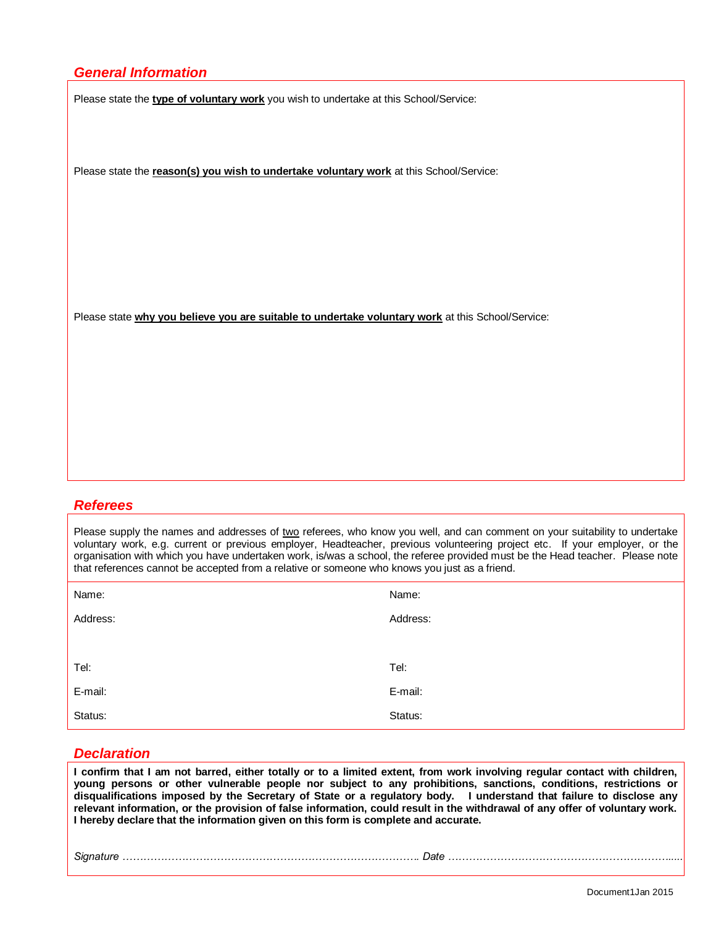# *General Information*

Please state the **type of voluntary work** you wish to undertake at this School/Service:

Please state the **reason(s) you wish to undertake voluntary work** at this School/Service:

Please state **why you believe you are suitable to undertake voluntary work** at this School/Service:

#### *Referees*

Please supply the names and addresses of two referees, who know you well, and can comment on your suitability to undertake voluntary work, e.g. current or previous employer, Headteacher, previous volunteering project etc. If your employer, or the organisation with which you have undertaken work, is/was a school, the referee provided must be the Head teacher. Please note that references cannot be accepted from a relative or someone who knows you just as a friend.

| Name:    | Name:    |
|----------|----------|
| Address: | Address: |
|          |          |
| Tel:     | Tel:     |
| E-mail:  | E-mail:  |
| Status:  | Status:  |

#### *Declaration*

**I confirm that I am not barred, either totally or to a limited extent, from work involving regular contact with children, young persons or other vulnerable people nor subject to any prohibitions, sanctions, conditions, restrictions or disqualifications imposed by the Secretary of State or a regulatory body. I understand that failure to disclose any relevant information, or the provision of false information, could result in the withdrawal of any offer of voluntary work. I hereby declare that the information given on this form is complete and accurate.**

*Signature …………………………………………………………………………. Date ……………………………………………………….....*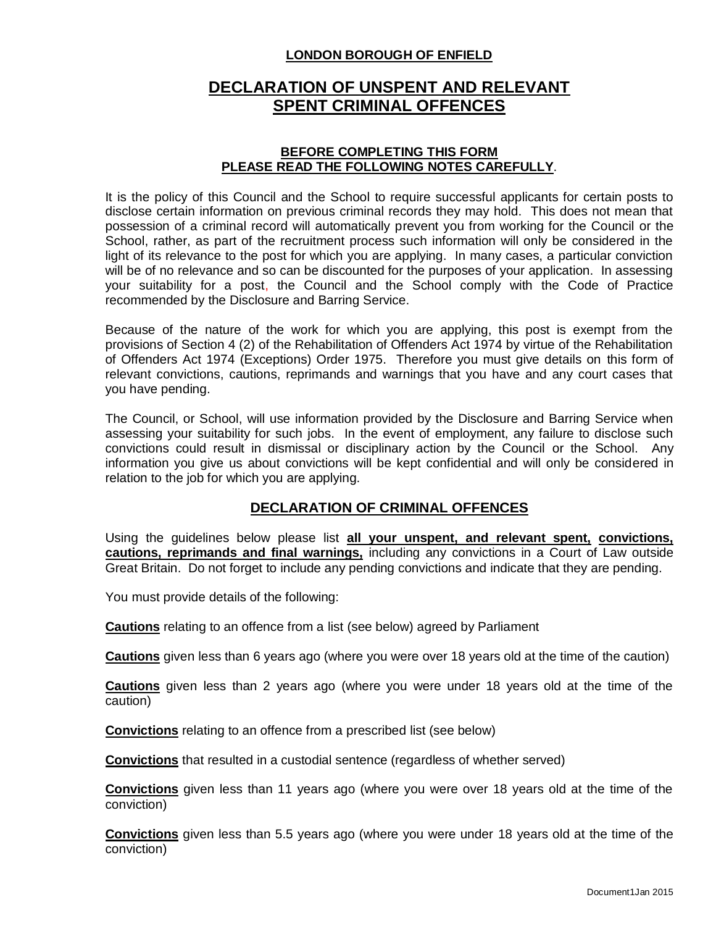### **LONDON BOROUGH OF ENFIELD**

# **DECLARATION OF UNSPENT AND RELEVANT SPENT CRIMINAL OFFENCES**

#### **BEFORE COMPLETING THIS FORM PLEASE READ THE FOLLOWING NOTES CAREFULLY**.

It is the policy of this Council and the School to require successful applicants for certain posts to disclose certain information on previous criminal records they may hold. This does not mean that possession of a criminal record will automatically prevent you from working for the Council or the School, rather, as part of the recruitment process such information will only be considered in the light of its relevance to the post for which you are applying. In many cases, a particular conviction will be of no relevance and so can be discounted for the purposes of your application. In assessing your suitability for a post, the Council and the School comply with the Code of Practice recommended by the Disclosure and Barring Service.

Because of the nature of the work for which you are applying, this post is exempt from the provisions of Section 4 (2) of the Rehabilitation of Offenders Act 1974 by virtue of the Rehabilitation of Offenders Act 1974 (Exceptions) Order 1975. Therefore you must give details on this form of relevant convictions, cautions, reprimands and warnings that you have and any court cases that you have pending.

The Council, or School, will use information provided by the Disclosure and Barring Service when assessing your suitability for such jobs. In the event of employment, any failure to disclose such convictions could result in dismissal or disciplinary action by the Council or the School. Any information you give us about convictions will be kept confidential and will only be considered in relation to the job for which you are applying.

# **DECLARATION OF CRIMINAL OFFENCES**

Using the guidelines below please list **all your unspent, and relevant spent, convictions, cautions, reprimands and final warnings,** including any convictions in a Court of Law outside Great Britain. Do not forget to include any pending convictions and indicate that they are pending.

You must provide details of the following:

**Cautions** relating to an offence from a list (see below) agreed by Parliament

**Cautions** given less than 6 years ago (where you were over 18 years old at the time of the caution)

**Cautions** given less than 2 years ago (where you were under 18 years old at the time of the caution)

**Convictions** relating to an offence from a prescribed list (see below)

**Convictions** that resulted in a custodial sentence (regardless of whether served)

**Convictions** given less than 11 years ago (where you were over 18 years old at the time of the conviction)

**Convictions** given less than 5.5 years ago (where you were under 18 years old at the time of the conviction)